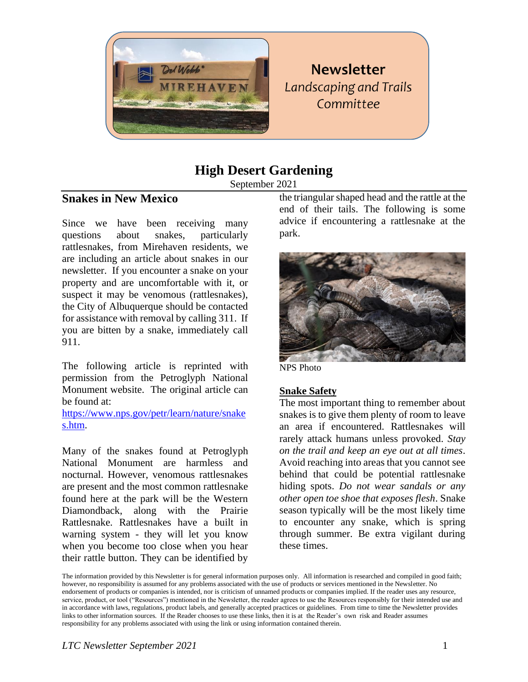

## **Newsletter Landscaping and Trails** Committee

## **High Desert Gardening**

September 2021

#### **Snakes in New Mexico**

Since we have been receiving many questions about snakes, particularly rattlesnakes, from Mirehaven residents, we are including an article about snakes in our newsletter. If you encounter a snake on your property and are uncomfortable with it, or suspect it may be venomous (rattlesnakes), the City of Albuquerque should be contacted for assistance with removal by calling 311. If you are bitten by a snake, immediately call 911.

The following article is reprinted with permission from the Petroglyph National Monument website. The original article can be found at:

[https://www.nps.gov/petr/learn/nature/snake](https://www.nps.gov/petr/learn/nature/snakes.htm) [s.htm.](https://www.nps.gov/petr/learn/nature/snakes.htm)

Many of the snakes found at Petroglyph National Monument are harmless and nocturnal. However, venomous rattlesnakes are present and the most common rattlesnake found here at the park will be the Western Diamondback, along with the Prairie Rattlesnake. Rattlesnakes have a built in warning system - they will let you know when you become too close when you hear their rattle button. They can be identified by

the triangular shaped head and the rattle at the end of their tails. The following is some advice if encountering a rattlesnake at the park.



NPS Photo

#### **Snake Safety**

The most important thing to remember about snakes is to give them plenty of room to leave an area if encountered. Rattlesnakes will rarely attack humans unless provoked. *Stay on the trail and keep an eye out at all times*. Avoid reaching into areas that you cannot see behind that could be potential rattlesnake hiding spots. *Do not wear sandals or any other open toe shoe that exposes flesh*. Snake season typically will be the most likely time to encounter any snake, which is spring through summer. Be extra vigilant during these times.

The information provided by this Newsletter is for general information purposes only. All information is researched and compiled in good faith; however, no responsibility is assumed for any problems associated with the use of products or services mentioned in the Newsletter. No endorsement of products or companies is intended, nor is criticism of unnamed products or companies implied. If the reader uses any resource, service, product, or tool ("Resources") mentioned in the Newsletter, the reader agrees to use the Resources responsibly for their intended use and in accordance with laws, regulations, product labels, and generally accepted practices or guidelines. From time to time the Newsletter provides links to other information sources. If the Reader chooses to use these links, then it is at the Reader's own risk and Reader assumes responsibility for any problems associated with using the link or using information contained therein.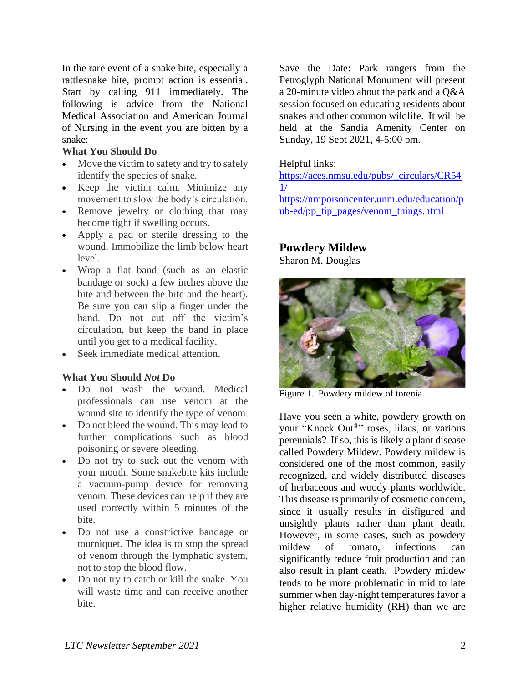In the rare event of a snake bite, especially a rattlesnake bite, prompt action is essential. Start by calling 911 immediately. The following is advice from the National Medical Association and American Journal of Nursing in the event you are bitten by a snake:

#### **What You Should Do**

- Move the victim to safety and try to safely identify the species of snake.
- Keep the victim calm. Minimize any movement to slow the body's circulation.
- Remove jewelry or clothing that may become tight if swelling occurs.
- Apply a pad or sterile dressing to the wound. Immobilize the limb below heart  $level.$
- Wrap a flat band (such as an elastic bandage or sock) a few inches above the bite and between the bite and the heart). Be sure you can slip a finger under the band. Do not cut off the victim's circulation, but keep the band in place until you get to a medical facility.
- Seek immediate medical attention.

#### **What You Should** *Not* **Do**

- Do not wash the wound. Medical professionals can use venom at the wound site to identify the type of venom.
- Do not bleed the wound. This may lead to further complications such as blood poisoning or severe bleeding.
- Do not try to suck out the venom with your mouth. Some snakebite kits include a vacuum-pump device for removing venom. These devices can help if they are used correctly within 5 minutes of the bite.
- Do not use a constrictive bandage or tourniquet. The idea is to stop the spread of venom through the lymphatic system, not to stop the blood flow.
- Do not try to catch or kill the snake. You will waste time and can receive another bite.

Save the Date: Park rangers from the Petroglyph National Monument will present a 20-minute video about the park and a Q&A session focused on educating residents about snakes and other common wildlife. It will be held at the Sandia Amenity Center on Sunday, 19 Sept 2021, 4-5:00 pm.

#### Helpful links:

[https://aces.nmsu.edu/pubs/\\_circulars/CR54](https://aces.nmsu.edu/pubs/_circulars/CR541/) [1/](https://aces.nmsu.edu/pubs/_circulars/CR541/) [https://nmpoisoncenter.unm.edu/education/p](https://nmpoisoncenter.unm.edu/education/pub-ed/pp_tip_pages/venom_things.html) [ub-ed/pp\\_tip\\_pages/venom\\_things.html](https://nmpoisoncenter.unm.edu/education/pub-ed/pp_tip_pages/venom_things.html)

# **Powdery Mildew**

Sharon M. Douglas



Figure 1. Powdery mildew of torenia.

Have you seen a white, powdery growth on your "Knock Out®" roses, lilacs, or various perennials? If so, this is likely a plant disease called Powdery Mildew. Powdery mildew is considered one of the most common, easily recognized, and widely distributed diseases of herbaceous and woody plants worldwide. This disease is primarily of cosmetic concern, since it usually results in disfigured and unsightly plants rather than plant death. However, in some cases, such as powdery mildew of tomato, infections can significantly reduce fruit production and can also result in plant death. Powdery mildew tends to be more problematic in mid to late summer when day-night temperatures favor a higher relative humidity (RH) than we are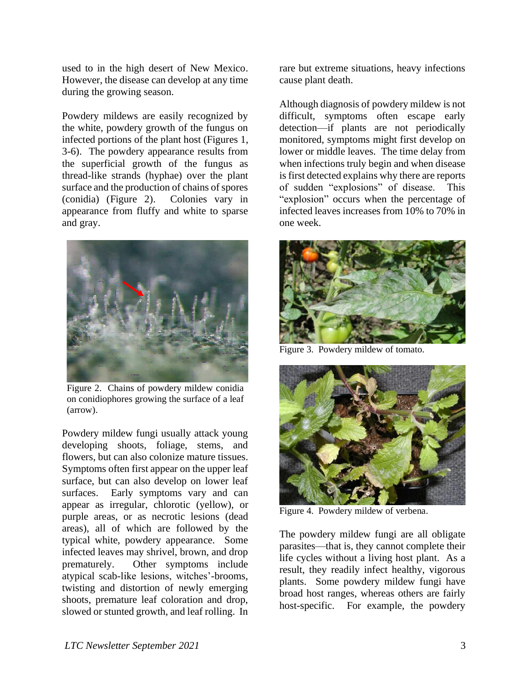used to in the high desert of New Mexico. However, the disease can develop at any time during the growing season.

Powdery mildews are easily recognized by the white, powdery growth of the fungus on infected portions of the plant host (Figures 1, 3-6). The powdery appearance results from the superficial growth of the fungus as thread-like strands (hyphae) over the plant surface and the production of chains of spores (conidia) (Figure 2). Colonies vary in appearance from fluffy and white to sparse and gray.



Figure 2.Chains of powdery mildew conidia on conidiophores growing the surface of a leaf (arrow).

Powdery mildew fungi usually attack young developing shoots, foliage, stems, and flowers, but can also colonize mature tissues. Symptoms often first appear on the upper leaf surface, but can also develop on lower leaf surfaces. Early symptoms vary and can appear as irregular, chlorotic (yellow), or purple areas, or as necrotic lesions (dead areas), all of which are followed by the typical white, powdery appearance. Some infected leaves may shrivel, brown, and drop prematurely. Other symptoms include atypical scab-like lesions, witches'-brooms, twisting and distortion of newly emerging shoots, premature leaf coloration and drop, slowed or stunted growth, and leaf rolling. In

rare but extreme situations, heavy infections cause plant death.

Although diagnosis of powdery mildew is not difficult, symptoms often escape early detection—if plants are not periodically monitored, symptoms might first develop on lower or middle leaves. The time delay from when infections truly begin and when disease is first detected explains why there are reports of sudden "explosions" of disease. This "explosion" occurs when the percentage of infected leaves increases from 10% to 70% in one week.



Figure 3. Powdery mildew of tomato.



Figure 4. Powdery mildew of verbena.

The powdery mildew fungi are all obligate parasites—that is, they cannot complete their life cycles without a living host plant. As a result, they readily infect healthy, vigorous plants. Some powdery mildew fungi have broad host ranges, whereas others are fairly host-specific. For example, the powdery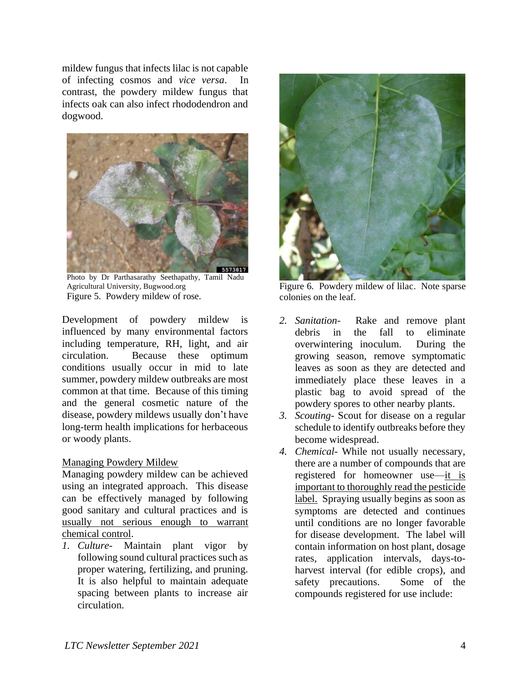mildew fungus that infects lilac is not capable of infecting cosmos and *vice versa*. In contrast, the powdery mildew fungus that infects oak can also infect rhododendron and dogwood.



Photo by Dr Parthasarathy Seethapathy, Tamil Nadu Agricultural University, Bugwood.org Figure 5. Powdery mildew of rose.

Development of powdery mildew is influenced by many environmental factors including temperature, RH, light, and air circulation. Because these optimum conditions usually occur in mid to late summer, powdery mildew outbreaks are most common at that time. Because of this timing and the general cosmetic nature of the disease, powdery mildews usually don't have long-term health implications for herbaceous or woody plants.

#### Managing Powdery Mildew

Managing powdery mildew can be achieved using an integrated approach. This disease can be effectively managed by following good sanitary and cultural practices and is usually not serious enough to warrant chemical control.

*1. Culture-* Maintain plant vigor by following sound cultural practices such as proper watering, fertilizing, and pruning. It is also helpful to maintain adequate spacing between plants to increase air circulation.



Figure 6. Powdery mildew of lilac. Note sparse colonies on the leaf.

- *2. Sanitation-* Rake and remove plant debris in the fall to eliminate overwintering inoculum. During the growing season, remove symptomatic leaves as soon as they are detected and immediately place these leaves in a plastic bag to avoid spread of the powdery spores to other nearby plants.
- *3. Scouting-* Scout for disease on a regular schedule to identify outbreaks before they become widespread.
- *4. Chemical-* While not usually necessary, there are a number of compounds that are registered for homeowner use—it is important to thoroughly read the pesticide label. Spraying usually begins as soon as symptoms are detected and continues until conditions are no longer favorable for disease development. The label will contain information on host plant, dosage rates, application intervals, days-toharvest interval (for edible crops), and safety precautions. Some of the compounds registered for use include: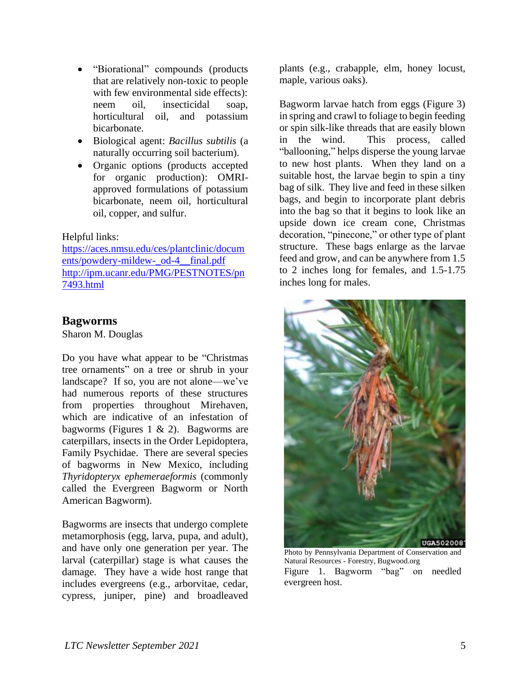- "Biorational" compounds (products that are relatively non-toxic to people with few environmental side effects): neem oil, insecticidal soap, horticultural oil, and potassium bicarbonate.
- Biological agent: *Bacillus subtilis* (a naturally occurring soil bacterium)*.*
- Organic options (products accepted for organic production): OMRIapproved formulations of potassium bicarbonate, neem oil, horticultural oil, copper, and sulfur.

#### Helpful links:

[https://aces.nmsu.edu/ces/plantclinic/docum](https://aces.nmsu.edu/ces/plantclinic/documents/powdery-mildew-_od-4__final.pdf) [ents/powdery-mildew-\\_od-4\\_\\_final.pdf](https://aces.nmsu.edu/ces/plantclinic/documents/powdery-mildew-_od-4__final.pdf) [http://ipm.ucanr.edu/PMG/PESTNOTES/pn](http://ipm.ucanr.edu/PMG/PESTNOTES/pn7493.html) [7493.html](http://ipm.ucanr.edu/PMG/PESTNOTES/pn7493.html)

#### **Bagworms**

Sharon M. Douglas

Do you have what appear to be "Christmas tree ornaments" on a tree or shrub in your landscape? If so, you are not alone—we've had numerous reports of these structures from properties throughout Mirehaven, which are indicative of an infestation of bagworms (Figures 1  $\&$  2). Bagworms are caterpillars, insects in the Order Lepidoptera, Family Psychidae. There are several species of bagworms in New Mexico, including *Thyridopteryx ephemeraeformis* (commonly called the Evergreen Bagworm or North American Bagworm)*.* 

Bagworms are insects that undergo complete metamorphosis (egg, larva, pupa, and adult), and have only one generation per year. The larval (caterpillar) stage is what causes the damage. They have a wide host range that includes evergreens (e.g., arborvitae, cedar, cypress, juniper, pine) and broadleaved

plants (e.g., crabapple, elm, honey locust, maple, various oaks).

Bagworm larvae hatch from eggs (Figure 3) in spring and crawl to foliage to begin feeding or spin silk-like threads that are easily blown in the wind. This process, called "ballooning," helps disperse the young larvae to new host plants. When they land on a suitable host, the larvae begin to spin a tiny bag of silk. They live and feed in these silken bags, and begin to incorporate plant debris into the bag so that it begins to look like an upside down ice cream cone, Christmas decoration, "pinecone," or other type of plant structure. These bags enlarge as the larvae feed and grow, and can be anywhere from 1.5 to 2 inches long for females, and 1.5-1.75 inches long for males.



Photo by Pennsylvania Department of Conservation and Natural Resources - Forestry, Bugwood.org Figure 1. Bagworm "bag" on needled evergreen host.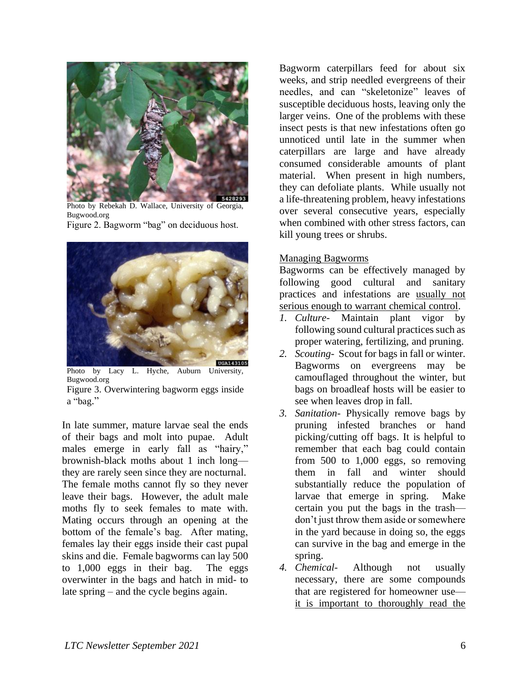

Photo by Rebekah D. Wallace, University of Georgia, Bugwood.org Figure 2. Bagworm "bag" on deciduous host.



Photo by Lacy L. Hyche, Auburn University, Bugwood.org Figure 3. Overwintering bagworm eggs inside

a "bag."

In late summer, mature larvae seal the ends of their bags and molt into pupae. Adult males emerge in early fall as "hairy," brownish-black moths about 1 inch long they are rarely seen since they are nocturnal. The female moths cannot fly so they never leave their bags. However, the adult male moths fly to seek females to mate with. Mating occurs through an opening at the bottom of the female's bag. After mating, females lay their eggs inside their cast pupal skins and die. Female bagworms can lay 500 to 1,000 eggs in their bag. The eggs overwinter in the bags and hatch in mid- to late spring – and the cycle begins again.

Bagworm caterpillars feed for about six weeks, and strip needled evergreens of their needles, and can "skeletonize" leaves of susceptible deciduous hosts, leaving only the larger veins. One of the problems with these insect pests is that new infestations often go unnoticed until late in the summer when caterpillars are large and have already consumed considerable amounts of plant material. When present in high numbers, they can defoliate plants. While usually not a life-threatening problem, heavy infestations over several consecutive years, especially when combined with other stress factors, can kill young trees or shrubs.

#### Managing Bagworms

Bagworms can be effectively managed by following good cultural and sanitary practices and infestations are usually not serious enough to warrant chemical control.

- *1. Culture-* Maintain plant vigor by following sound cultural practices such as proper watering, fertilizing, and pruning.
- *2. Scouting-* Scout for bags in fall or winter. Bagworms on evergreens may be camouflaged throughout the winter, but bags on broadleaf hosts will be easier to see when leaves drop in fall.
- *3. Sanitation-* Physically remove bags by pruning infested branches or hand picking/cutting off bags. It is helpful to remember that each bag could contain from 500 to 1,000 eggs, so removing them in fall and winter should substantially reduce the population of larvae that emerge in spring. Make certain you put the bags in the trash don't just throw them aside or somewhere in the yard because in doing so, the eggs can survive in the bag and emerge in the spring.
- *4. Chemical-* Although not usually necessary, there are some compounds that are registered for homeowner use it is important to thoroughly read the